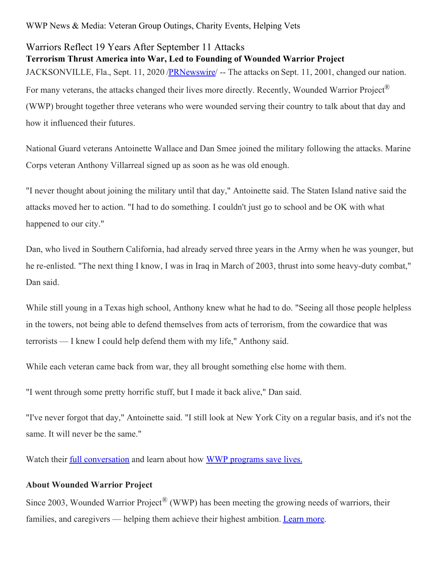WWP News & Media: Veteran Group Outings, Charity Events, Helping Vets

## Warriors Reflect 19 Years After September 11 Attacks

**Terrorism Thrust America into War, Led to Founding of Wounded Warrior Project** JACKSONVILLE, Fla., Sept. 11, 2020 [/PRNewswire](http://www.prnewswire.com/)/ -- The attacks on Sept. 11, 2001, changed our nation. For many veterans, the attacks changed their lives more directly. Recently, Wounded Warrior Project® (WWP) brought together three veterans who were wounded serving their country to talk about that day and how it influenced their futures.

National Guard veterans Antoinette Wallace and Dan Smee joined the military following the attacks. Marine Corps veteran Anthony Villarreal signed up as soon as he was old enough.

"I never thought about joining the military until that day," Antoinette said. The Staten Island native said the attacks moved her to action. "I had to do something. I couldn't just go to school and be OK with what happened to our city."

Dan, who lived in Southern California, had already served three years in the Army when he was younger, but he re-enlisted. "The next thing I know, I was in Iraq in March of 2003, thrust into some heavy-duty combat," Dan said.

While still young in a Texas high school, Anthony knew what he had to do. "Seeing all those people helpless in the towers, not being able to defend themselves from acts of terrorism, from the cowardice that was terrorists — I knew I could help defend them with my life," Anthony said.

While each veteran came back from war, they all brought something else home with them.

"I went through some pretty horrific stuff, but I made it back alive," Dan said.

"I've never forgot that day," Antoinette said. "I still look at New York City on a regular basis, and it's not the same. It will never be the same."

Watch their <u>full [conversation](https://c212.net/c/link/?t=0&l=en&o=2914292-1&h=2335137280&u=https%3A%2F%2Fwww.youtube.com%2Fwatch%3Fv%3DzENds3FnRxo%26feature%3Dyoutu.be&a=full+conversation)</u> and learn about how WWP [programs](https://c212.net/c/link/?t=0&l=en&o=2914292-1&h=877130468&u=https%3A%2F%2Fnewsroom.woundedwarriorproject.org%2F&a=WWP+programs+save+lives.) save lives.

## **About Wounded Warrior Project**

Since 2003, Wounded Warrior Project<sup>®</sup> (WWP) has been meeting the growing needs of warriors, their families, and caregivers — helping them achieve their highest ambition. [Learn](https://c212.net/c/link/?t=0&l=en&o=2914292-1&h=3125250065&u=http%3A%2F%2Fnewsroom.woundedwarriorproject.org%2Fabout-us&a=Learn+more) more.